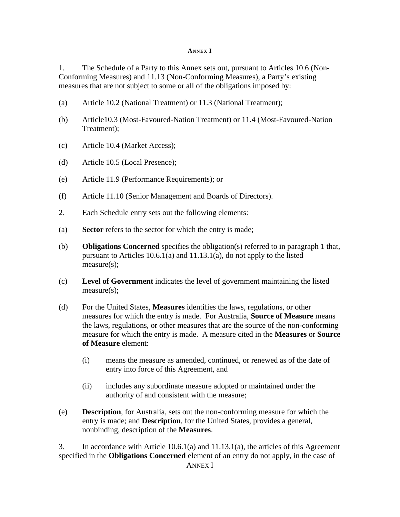## **ANNEX I**

1. The Schedule of a Party to this Annex sets out, pursuant to Articles 10.6 (Non-Conforming Measures) and 11.13 (Non-Conforming Measures), a Party's existing measures that are not subject to some or all of the obligations imposed by:

- (a) Article 10.2 (National Treatment) or 11.3 (National Treatment);
- (b) Article10.3 (Most-Favoured-Nation Treatment) or 11.4 (Most-Favoured-Nation Treatment);
- (c) Article 10.4 (Market Access);
- (d) Article 10.5 (Local Presence);
- (e) Article 11.9 (Performance Requirements); or
- (f) Article 11.10 (Senior Management and Boards of Directors).
- 2. Each Schedule entry sets out the following elements:
- (a) **Sector** refers to the sector for which the entry is made;
- (b) **Obligations Concerned** specifies the obligation(s) referred to in paragraph 1 that, pursuant to Articles 10.6.1(a) and 11.13.1(a), do not apply to the listed measure(s);
- (c) **Level of Government** indicates the level of government maintaining the listed measure(s);
- (d) For the United States, **Measures** identifies the laws, regulations, or other measures for which the entry is made. For Australia, **Source of Measure** means the laws, regulations, or other measures that are the source of the non-conforming measure for which the entry is made. A measure cited in the **Measures** or **Source of Measure** element:
	- (i) means the measure as amended, continued, or renewed as of the date of entry into force of this Agreement, and
	- (ii) includes any subordinate measure adopted or maintained under the authority of and consistent with the measure;
- (e) **Description**, for Australia, sets out the non-conforming measure for which the entry is made; and **Description**, for the United States, provides a general, nonbinding, description of the **Measures**.

ANNEX I 3. In accordance with Article 10.6.1(a) and 11.13.1(a), the articles of this Agreement specified in the **Obligations Concerned** element of an entry do not apply, in the case of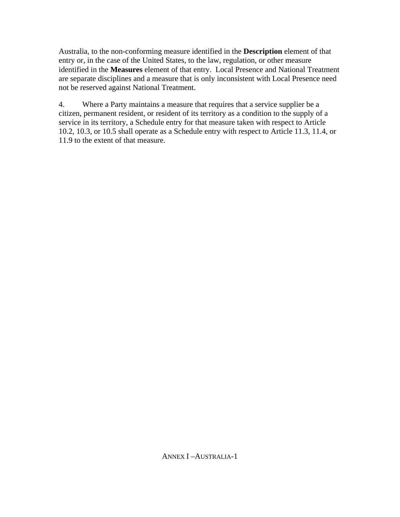Australia, to the non-conforming measure identified in the **Description** element of that entry or, in the case of the United States, to the law, regulation, or other measure identified in the **Measures** element of that entry. Local Presence and National Treatment are separate disciplines and a measure that is only inconsistent with Local Presence need not be reserved against National Treatment.

4. Where a Party maintains a measure that requires that a service supplier be a citizen, permanent resident, or resident of its territory as a condition to the supply of a service in its territory, a Schedule entry for that measure taken with respect to Article 10.2, 10.3, or 10.5 shall operate as a Schedule entry with respect to Article 11.3, 11.4, or 11.9 to the extent of that measure.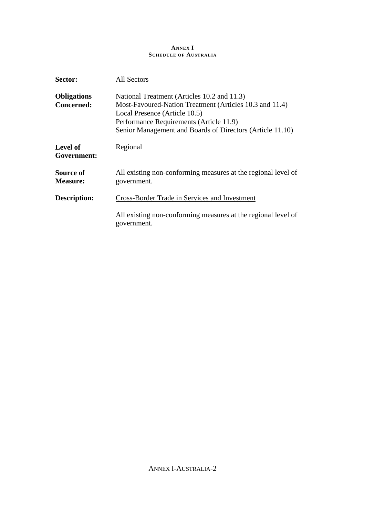# **ANNEX I SCHEDULE OF AUSTRALIA**

| Sector:                                 | <b>All Sectors</b>                                                                                                                                                                                                                              |
|-----------------------------------------|-------------------------------------------------------------------------------------------------------------------------------------------------------------------------------------------------------------------------------------------------|
| <b>Obligations</b><br><b>Concerned:</b> | National Treatment (Articles 10.2 and 11.3)<br>Most-Favoured-Nation Treatment (Articles 10.3 and 11.4)<br>Local Presence (Article 10.5)<br>Performance Requirements (Article 11.9)<br>Senior Management and Boards of Directors (Article 11.10) |
| Level of<br>Government:                 | Regional                                                                                                                                                                                                                                        |
| Source of<br><b>Measure:</b>            | All existing non-conforming measures at the regional level of<br>government.                                                                                                                                                                    |
| Description:                            | <b>Cross-Border Trade in Services and Investment</b>                                                                                                                                                                                            |
|                                         | All existing non-conforming measures at the regional level of<br>government.                                                                                                                                                                    |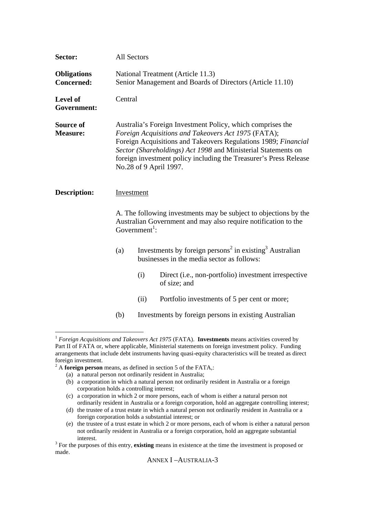| Sector:                                 | All Sectors                                                                                                                                                     |      |                                                                                                                                                                                                                                                                                                                                                     |
|-----------------------------------------|-----------------------------------------------------------------------------------------------------------------------------------------------------------------|------|-----------------------------------------------------------------------------------------------------------------------------------------------------------------------------------------------------------------------------------------------------------------------------------------------------------------------------------------------------|
| <b>Obligations</b><br><b>Concerned:</b> |                                                                                                                                                                 |      | National Treatment (Article 11.3)<br>Senior Management and Boards of Directors (Article 11.10)                                                                                                                                                                                                                                                      |
| Level of<br>Government:                 | Central                                                                                                                                                         |      |                                                                                                                                                                                                                                                                                                                                                     |
| Source of<br><b>Measure:</b>            |                                                                                                                                                                 |      | Australia's Foreign Investment Policy, which comprises the<br>Foreign Acquisitions and Takeovers Act 1975 (FATA);<br>Foreign Acquisitions and Takeovers Regulations 1989; Financial<br>Sector (Shareholdings) Act 1998 and Ministerial Statements on<br>foreign investment policy including the Treasurer's Press Release<br>No.28 of 9 April 1997. |
| <b>Description:</b>                     | Investment                                                                                                                                                      |      |                                                                                                                                                                                                                                                                                                                                                     |
|                                         | A. The following investments may be subject to objections by the<br>Australian Government and may also require notification to the<br>Government <sup>1</sup> : |      |                                                                                                                                                                                                                                                                                                                                                     |
|                                         | (a)                                                                                                                                                             |      | Investments by foreign persons <sup>2</sup> in existing <sup>3</sup> Australian<br>businesses in the media sector as follows:                                                                                                                                                                                                                       |
|                                         |                                                                                                                                                                 | (i)  | Direct (i.e., non-portfolio) investment irrespective<br>of size; and                                                                                                                                                                                                                                                                                |
|                                         |                                                                                                                                                                 | (ii) | Portfolio investments of 5 per cent or more;                                                                                                                                                                                                                                                                                                        |
|                                         | (b)                                                                                                                                                             |      | Investments by foreign persons in existing Australian                                                                                                                                                                                                                                                                                               |
|                                         |                                                                                                                                                                 |      | $1$ Foreign Acquisitions and Takeovers Act 1975 (FATA). Investments means activities covered by                                                                                                                                                                                                                                                     |

Part II of FATA or, where applicable, Ministerial statements on foreign investment policy. Funding arrangements that include debt instruments having quasi-equity characteristics will be treated as direct foreign investment.

(a) a natural person not ordinarily resident in Australia;

<sup>&</sup>lt;sup>2</sup> A **foreign person** means, as defined in section 5 of the FATA,:

<sup>(</sup>b) a corporation in which a natural person not ordinarily resident in Australia or a foreign corporation holds a controlling interest;

<sup>(</sup>c) a corporation in which 2 or more persons, each of whom is either a natural person not ordinarily resident in Australia or a foreign corporation, hold an aggregate controlling interest;

<sup>(</sup>d) the trustee of a trust estate in which a natural person not ordinarily resident in Australia or a foreign corporation holds a substantial interest; or

<sup>(</sup>e) the trustee of a trust estate in which 2 or more persons, each of whom is either a natural person not ordinarily resident in Australia or a foreign corporation, hold an aggregate substantial interest.

<sup>&</sup>lt;sup>3</sup> For the purposes of this entry, **existing** means in existence at the time the investment is proposed or made.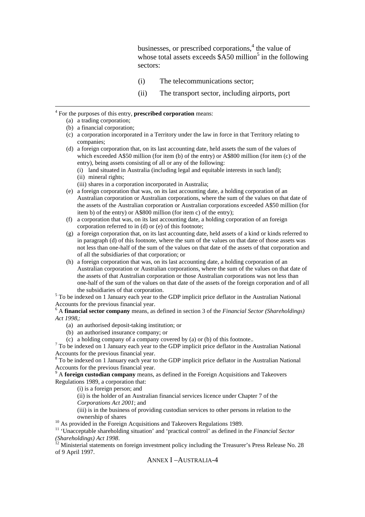businesses, or prescribed corporations, $<sup>4</sup>$  the value of</sup> whose total assets exceeds  $\hat{\ }$ A50 million<sup>5</sup> in the following sectors:

- (i) The telecommunications sector;
- (ii) The transport sector, including airports, port

#### 4 For the purposes of this entry, **prescribed corporation** means:

(a) a trading corporation;

 $\overline{a}$ 

- (b) a financial corporation;
- (c) a corporation incorporated in a Territory under the law in force in that Territory relating to companies;
- (d) a foreign corporation that, on its last accounting date, held assets the sum of the values of which exceeded A\$50 million (for item (b) of the entry) or A\$800 million (for item (c) of the entry), being assets consisting of all or any of the following:
	- (i) land situated in Australia (including legal and equitable interests in such land);
	- (ii) mineral rights;
	- (iii) shares in a corporation incorporated in Australia;
- (e) a foreign corporation that was, on its last accounting date, a holding corporation of an Australian corporation or Australian corporations, where the sum of the values on that date of the assets of the Australian corporation or Australian corporations exceeded A\$50 million (for item b) of the entry) or A\$800 million (for item c) of the entry);
- (f) a corporation that was, on its last accounting date, a holding corporation of an foreign corporation referred to in (d) or (e) of this footnote;
- (g) a foreign corporation that, on its last accounting date, held assets of a kind or kinds referred to in paragraph (d) of this footnote, where the sum of the values on that date of those assets was not less than one-half of the sum of the values on that date of the assets of that corporation and of all the subsidiaries of that corporation; or
- (h) a foreign corporation that was, on its last accounting date, a holding corporation of an Australian corporation or Australian corporations, where the sum of the values on that date of the assets of that Australian corporation or those Australian corporations was not less than one-half of the sum of the values on that date of the assets of the foreign corporation and of all the subsidiaries of that corporation.

<sup>5</sup> To be indexed on 1 January each year to the GDP implicit price deflator in the Australian National Accounts for the previous financial year.

6 A **financial sector company** means, as defined in section 3 of the *Financial Sector (Shareholdings) Act 1998*,:

- (a) an authorised deposit-taking institution; or
- (b) an authorised insurance company; or
- (c) a holding company of a company covered by (a) or (b) of this footnote..

<sup>7</sup> To be indexed on 1 January each year to the GDP implicit price deflator in the Australian National Accounts for the previous financial year.

<sup>8</sup> To be indexed on 1 January each year to the GDP implicit price deflator in the Australian National Accounts for the previous financial year.

9 A **foreign custodian company** means, as defined in the Foreign Acquisitions and Takeovers Regulations 1989, a corporation that:

(i) is a foreign person; and

(ii) is the holder of an Australian financial services licence under Chapter 7 of the *Corporations Act 2001*; and

(iii) is in the business of providing custodian services to other persons in relation to the ownership of shares

<sup>10</sup> As provided in the Foreign Acquisitions and Takeovers Regulations 1989.

<sup>11</sup> 'Unacceptable shareholding situation' and 'practical control' as defined in the *Financial Sector (Shareholdings) Act 1998*.

 $12$  Ministerial statements on foreign investment policy including the Treasurer's Press Release No. 28 of 9 April 1997.

ANNEX I –AUSTRALIA-4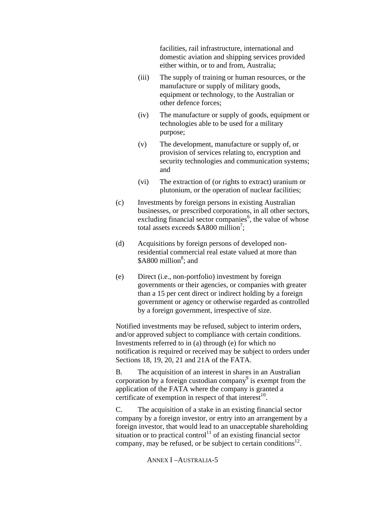facilities, rail infrastructure, international and domestic aviation and shipping services provided either within, or to and from, Australia;

- (iii) The supply of training or human resources, or the manufacture or supply of military goods, equipment or technology, to the Australian or other defence forces;
- (iv) The manufacture or supply of goods, equipment or technologies able to be used for a military purpose;
- (v) The development, manufacture or supply of, or provision of services relating to, encryption and security technologies and communication systems: and
- (vi) The extraction of (or rights to extract) uranium or plutonium, or the operation of nuclear facilities;
- (c) Investments by foreign persons in existing Australian businesses, or prescribed corporations, in all other sectors, excluding financial sector companies<sup>6</sup>, the value of whose total assets exceeds  $$A800$  million<sup>7</sup>;
- (d) Acquisitions by foreign persons of developed nonresidential commercial real estate valued at more than \$A800 million<sup>8</sup>; and
- (e) Direct (i.e., non-portfolio) investment by foreign governments or their agencies, or companies with greater than a 15 per cent direct or indirect holding by a foreign government or agency or otherwise regarded as controlled by a foreign government, irrespective of size.

Notified investments may be refused, subject to interim orders, and/or approved subject to compliance with certain conditions. Investments referred to in (a) through (e) for which no notification is required or received may be subject to orders under Sections 18, 19, 20, 21 and 21A of the FATA.

B. The acquisition of an interest in shares in an Australian corporation by a foreign custodian company $\delta$  is exempt from the application of the FATA where the company is granted a certificate of exemption in respect of that interest $^{10}$ .

C. The acquisition of a stake in an existing financial sector company by a foreign investor, or entry into an arrangement by a foreign investor, that would lead to an unacceptable shareholding situation or to practical control<sup>11</sup> of an existing financial sector company, may be refused, or be subject to certain conditions $^{12}$ .

# ANNEX I –AUSTRALIA-5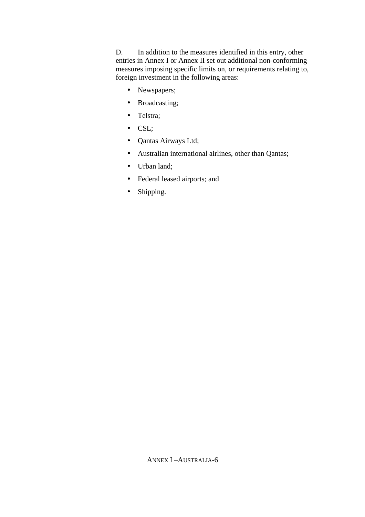D. In addition to the measures identified in this entry, other entries in Annex I or Annex II set out additional non-conforming measures imposing specific limits on, or requirements relating to, foreign investment in the following areas:

- Newspapers;
- Broadcasting;
- Telstra;
- CSL;
- Qantas Airways Ltd;
- Australian international airlines, other than Qantas;
- Urban land;
- Federal leased airports; and
- Shipping.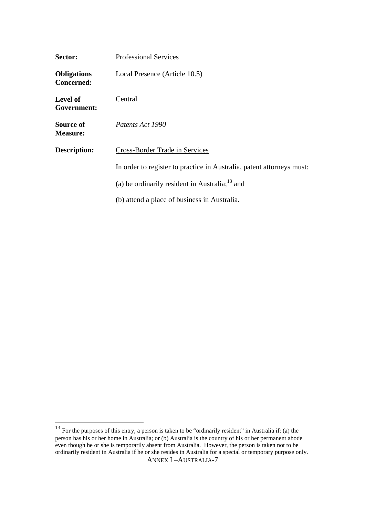| Sector:                                 | <b>Professional Services</b>                                          |
|-----------------------------------------|-----------------------------------------------------------------------|
| <b>Obligations</b><br><b>Concerned:</b> | Local Presence (Article 10.5)                                         |
| <b>Level of</b><br>Government:          | Central                                                               |
| Source of<br><b>Measure:</b>            | Patents Act 1990                                                      |
| Description:                            | Cross-Border Trade in Services                                        |
|                                         | In order to register to practice in Australia, patent attorneys must: |
|                                         | (a) be ordinarily resident in Australia; $13$ and                     |
|                                         | (b) attend a place of business in Australia.                          |

 $\overline{a}$ 

ANNEX I –AUSTRALIA-7  $13$  For the purposes of this entry, a person is taken to be "ordinarily resident" in Australia if: (a) the person has his or her home in Australia; or (b) Australia is the country of his or her permanent abode even though he or she is temporarily absent from Australia. However, the person is taken not to be ordinarily resident in Australia if he or she resides in Australia for a special or temporary purpose only.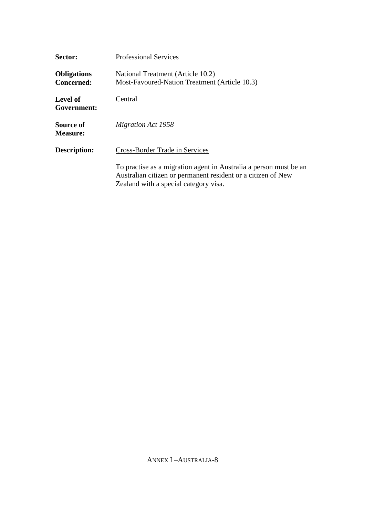| Sector:                                 | <b>Professional Services</b>                                                                                                                                               |
|-----------------------------------------|----------------------------------------------------------------------------------------------------------------------------------------------------------------------------|
| <b>Obligations</b><br><b>Concerned:</b> | National Treatment (Article 10.2)<br>Most-Favoured-Nation Treatment (Article 10.3)                                                                                         |
| Level of<br>Government:                 | Central                                                                                                                                                                    |
| Source of<br><b>Measure:</b>            | <b>Migration Act 1958</b>                                                                                                                                                  |
| Description:                            | <b>Cross-Border Trade in Services</b>                                                                                                                                      |
|                                         | To practise as a migration agent in Australia a person must be an<br>Australian citizen or permanent resident or a citizen of New<br>Zealand with a special category visa. |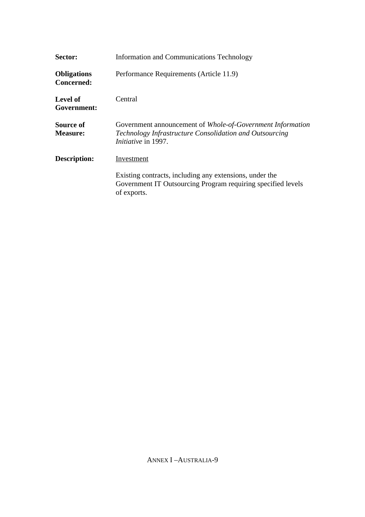| Sector:                                 | Information and Communications Technology                                                                                                           |
|-----------------------------------------|-----------------------------------------------------------------------------------------------------------------------------------------------------|
| <b>Obligations</b><br><b>Concerned:</b> | Performance Requirements (Article 11.9)                                                                                                             |
| Level of<br>Government:                 | Central                                                                                                                                             |
| Source of<br><b>Measure:</b>            | Government announcement of Whole-of-Government Information<br>Technology Infrastructure Consolidation and Outsourcing<br><i>Initiative</i> in 1997. |
| Description:                            | Investment                                                                                                                                          |
|                                         | Existing contracts, including any extensions, under the<br>Government IT Outsourcing Program requiring specified levels<br>of exports.              |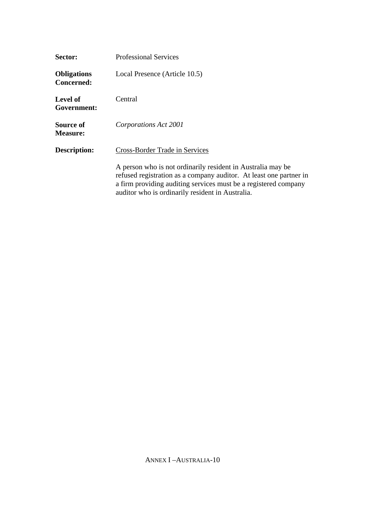| Sector:                                 | <b>Professional Services</b>                                                                                                                                                                                                                             |
|-----------------------------------------|----------------------------------------------------------------------------------------------------------------------------------------------------------------------------------------------------------------------------------------------------------|
| <b>Obligations</b><br><b>Concerned:</b> | Local Presence (Article 10.5)                                                                                                                                                                                                                            |
| <b>Level of</b><br>Government:          | Central                                                                                                                                                                                                                                                  |
| Source of<br><b>Measure:</b>            | Corporations Act 2001                                                                                                                                                                                                                                    |
| Description:                            | <b>Cross-Border Trade in Services</b>                                                                                                                                                                                                                    |
|                                         | A person who is not ordinarily resident in Australia may be<br>refused registration as a company auditor. At least one partner in<br>a firm providing auditing services must be a registered company<br>auditor who is ordinarily resident in Australia. |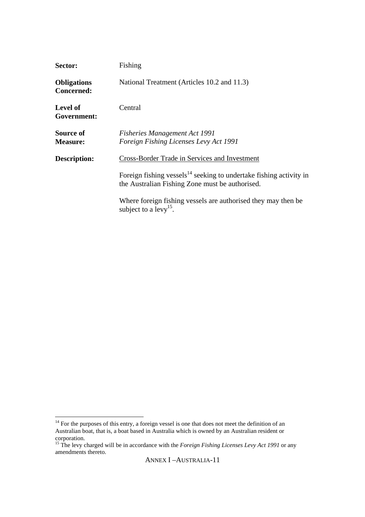| Sector:                                 | Fishing                                                                                                                     |
|-----------------------------------------|-----------------------------------------------------------------------------------------------------------------------------|
| <b>Obligations</b><br><b>Concerned:</b> | National Treatment (Articles 10.2 and 11.3)                                                                                 |
| <b>Level of</b><br>Government:          | Central                                                                                                                     |
| Source of<br><b>Measure:</b>            | <b>Fisheries Management Act 1991</b><br>Foreign Fishing Licenses Levy Act 1991                                              |
| <b>Description:</b>                     | Cross-Border Trade in Services and Investment                                                                               |
|                                         | Foreign fishing vessels $^{14}$ seeking to undertake fishing activity in<br>the Australian Fishing Zone must be authorised. |
|                                         | Where foreign fishing vessels are authorised they may then be<br>subject to a $levy^{15}$ .                                 |

 $\overline{a}$ 

 $14$  For the purposes of this entry, a foreign vessel is one that does not meet the definition of an Australian boat, that is, a boat based in Australia which is owned by an Australian resident or corporation.

<sup>&</sup>lt;sup>15</sup> The levy charged will be in accordance with the *Foreign Fishing Licenses Levy Act 1991* or any amendments thereto.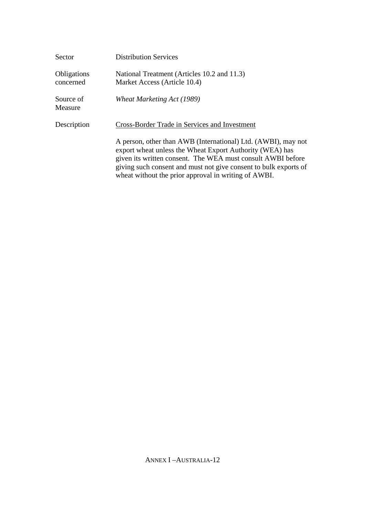| Sector                   | <b>Distribution Services</b>                                                                                                                                                                                                                                                                                         |
|--------------------------|----------------------------------------------------------------------------------------------------------------------------------------------------------------------------------------------------------------------------------------------------------------------------------------------------------------------|
| Obligations<br>concerned | National Treatment (Articles 10.2 and 11.3)<br>Market Access (Article 10.4)                                                                                                                                                                                                                                          |
| Source of<br>Measure     | Wheat Marketing Act (1989)                                                                                                                                                                                                                                                                                           |
| Description              | Cross-Border Trade in Services and Investment                                                                                                                                                                                                                                                                        |
|                          | A person, other than AWB (International) Ltd. (AWBI), may not<br>export wheat unless the Wheat Export Authority (WEA) has<br>given its written consent. The WEA must consult AWBI before<br>giving such consent and must not give consent to bulk exports of<br>wheat without the prior approval in writing of AWBI. |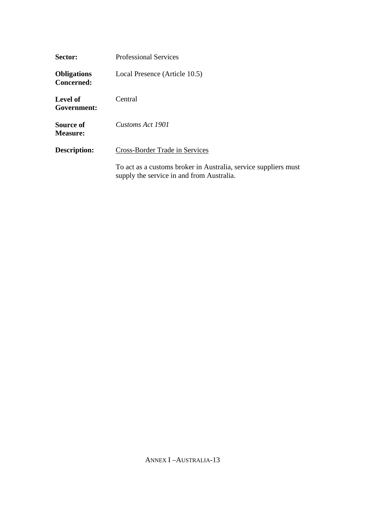| Sector:                                 | <b>Professional Services</b>                                                                                 |
|-----------------------------------------|--------------------------------------------------------------------------------------------------------------|
| <b>Obligations</b><br><b>Concerned:</b> | Local Presence (Article 10.5)                                                                                |
| Level of<br>Government:                 | Central                                                                                                      |
| Source of<br><b>Measure:</b>            | Customs Act 1901                                                                                             |
| Description:                            | Cross-Border Trade in Services                                                                               |
|                                         | To act as a customs broker in Australia, service suppliers must<br>supply the service in and from Australia. |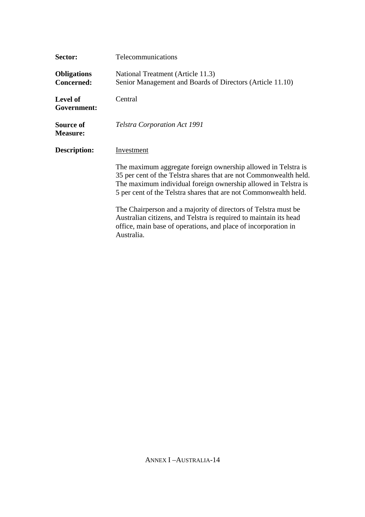| Sector:                                 | Telecommunications                                                                                                                                                                                                                                                       |
|-----------------------------------------|--------------------------------------------------------------------------------------------------------------------------------------------------------------------------------------------------------------------------------------------------------------------------|
| <b>Obligations</b><br><b>Concerned:</b> | National Treatment (Article 11.3)<br>Senior Management and Boards of Directors (Article 11.10)                                                                                                                                                                           |
| <b>Level of</b><br>Government:          | Central                                                                                                                                                                                                                                                                  |
| Source of<br><b>Measure:</b>            | Telstra Corporation Act 1991                                                                                                                                                                                                                                             |
| Description:                            | Investment                                                                                                                                                                                                                                                               |
|                                         | The maximum aggregate foreign ownership allowed in Telstra is<br>35 per cent of the Telstra shares that are not Commonwealth held.<br>The maximum individual foreign ownership allowed in Telstra is<br>5 per cent of the Telstra shares that are not Commonwealth held. |
|                                         | The Chairperson and a majority of directors of Telstra must be<br>Australian citizens, and Telstra is required to maintain its head<br>office, main base of operations, and place of incorporation in<br>Australia.                                                      |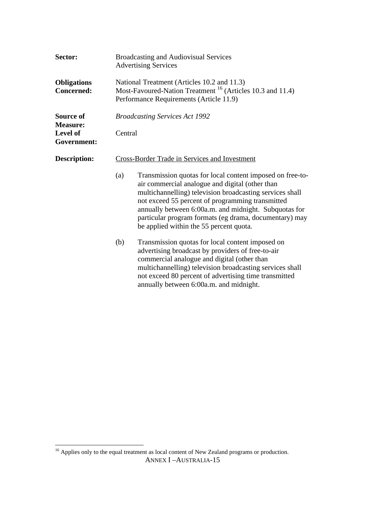| Sector:                                 | <b>Broadcasting and Audiovisual Services</b><br><b>Advertising Services</b>                                                                                                                                                                                                                                                                                                                       |  |  |
|-----------------------------------------|---------------------------------------------------------------------------------------------------------------------------------------------------------------------------------------------------------------------------------------------------------------------------------------------------------------------------------------------------------------------------------------------------|--|--|
| <b>Obligations</b><br><b>Concerned:</b> | National Treatment (Articles 10.2 and 11.3)<br>Most-Favoured-Nation Treatment <sup>16</sup> (Articles 10.3 and 11.4)<br>Performance Requirements (Article 11.9)                                                                                                                                                                                                                                   |  |  |
| Source of<br><b>Measure:</b>            | <b>Broadcasting Services Act 1992</b>                                                                                                                                                                                                                                                                                                                                                             |  |  |
| <b>Level of</b><br>Government:          | Central                                                                                                                                                                                                                                                                                                                                                                                           |  |  |
| Description:                            | <b>Cross-Border Trade in Services and Investment</b>                                                                                                                                                                                                                                                                                                                                              |  |  |
|                                         | Transmission quotas for local content imposed on free-to-<br>(a)<br>air commercial analogue and digital (other than<br>multichannelling) television broadcasting services shall<br>not exceed 55 percent of programming transmitted<br>annually between 6:00a.m. and midnight. Subquotas for<br>particular program formats (eg drama, documentary) may<br>be applied within the 55 percent quota. |  |  |
|                                         | (b)<br>Transmission quotas for local content imposed on<br>advertising broadcast by providers of free-to-air<br>commercial analogue and digital (other than<br>multichannelling) television broadcasting services shall<br>not exceed 80 percent of advertising time transmitted<br>annually between 6:00a.m. and midnight.                                                                       |  |  |

ANNEX I –AUSTRALIA-15 <sup>16</sup> Applies only to the equal treatment as local content of New Zealand programs or production.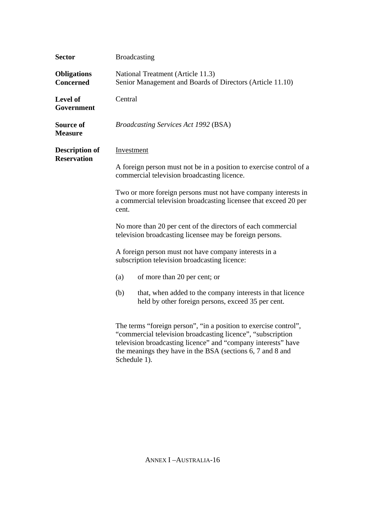| <b>Sector</b>                               | <b>Broadcasting</b>                                                                                                                                                                                                                                            |  |  |
|---------------------------------------------|----------------------------------------------------------------------------------------------------------------------------------------------------------------------------------------------------------------------------------------------------------------|--|--|
| <b>Obligations</b><br><b>Concerned</b>      | National Treatment (Article 11.3)<br>Senior Management and Boards of Directors (Article 11.10)                                                                                                                                                                 |  |  |
| Level of<br>Government                      | Central                                                                                                                                                                                                                                                        |  |  |
| Source of<br><b>Measure</b>                 | <b>Broadcasting Services Act 1992 (BSA)</b>                                                                                                                                                                                                                    |  |  |
| <b>Description of</b><br><b>Reservation</b> | Investment                                                                                                                                                                                                                                                     |  |  |
|                                             | A foreign person must not be in a position to exercise control of a<br>commercial television broadcasting licence.                                                                                                                                             |  |  |
|                                             | Two or more foreign persons must not have company interests in<br>a commercial television broadcasting licensee that exceed 20 per<br>cent.                                                                                                                    |  |  |
|                                             | No more than 20 per cent of the directors of each commercial<br>television broadcasting licensee may be foreign persons.                                                                                                                                       |  |  |
|                                             | A foreign person must not have company interests in a<br>subscription television broadcasting licence:                                                                                                                                                         |  |  |
|                                             | (a)<br>of more than 20 per cent; or                                                                                                                                                                                                                            |  |  |
|                                             | (b)<br>that, when added to the company interests in that licence<br>held by other foreign persons, exceed 35 per cent.                                                                                                                                         |  |  |
|                                             | The terms "foreign person", "in a position to exercise control",<br>"commercial television broadcasting licence", "subscription<br>television broadcasting licence" and "company interests" have<br>the meanings they have in the BSA (sections 6, 7 and 8 and |  |  |

Schedule 1).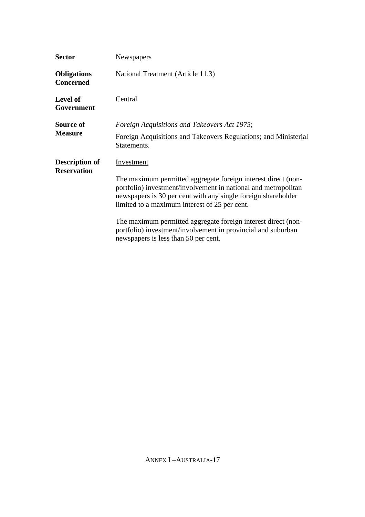| <b>Sector</b>                               | Newspapers                                                                                                                                                                                                                                                                                                                                                                                                                               |  |
|---------------------------------------------|------------------------------------------------------------------------------------------------------------------------------------------------------------------------------------------------------------------------------------------------------------------------------------------------------------------------------------------------------------------------------------------------------------------------------------------|--|
| <b>Obligations</b><br><b>Concerned</b>      | National Treatment (Article 11.3)                                                                                                                                                                                                                                                                                                                                                                                                        |  |
| <b>Level of</b><br>Government               | Central                                                                                                                                                                                                                                                                                                                                                                                                                                  |  |
| Source of<br><b>Measure</b>                 | Foreign Acquisitions and Takeovers Act 1975;<br>Foreign Acquisitions and Takeovers Regulations; and Ministerial<br>Statements.                                                                                                                                                                                                                                                                                                           |  |
| <b>Description of</b><br><b>Reservation</b> | Investment<br>The maximum permitted aggregate foreign interest direct (non-<br>portfolio) investment/involvement in national and metropolitan<br>newspapers is 30 per cent with any single foreign shareholder<br>limited to a maximum interest of 25 per cent.<br>The maximum permitted aggregate foreign interest direct (non-<br>portfolio) investment/involvement in provincial and suburban<br>newspapers is less than 50 per cent. |  |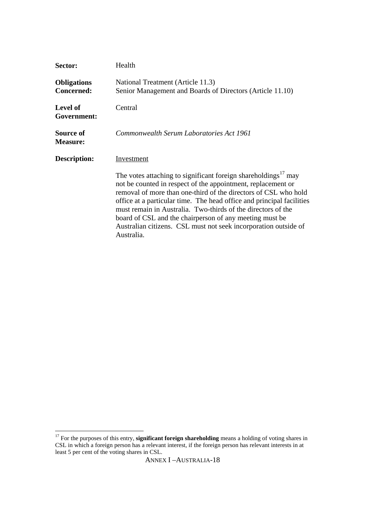| Sector:                                 | Health                                                                                                                                                                                                                                                                                                                                                                                                                                                                                             |
|-----------------------------------------|----------------------------------------------------------------------------------------------------------------------------------------------------------------------------------------------------------------------------------------------------------------------------------------------------------------------------------------------------------------------------------------------------------------------------------------------------------------------------------------------------|
| <b>Obligations</b><br><b>Concerned:</b> | National Treatment (Article 11.3)<br>Senior Management and Boards of Directors (Article 11.10)                                                                                                                                                                                                                                                                                                                                                                                                     |
| <b>Level of</b><br>Government:          | Central                                                                                                                                                                                                                                                                                                                                                                                                                                                                                            |
| Source of<br><b>Measure:</b>            | Commonwealth Serum Laboratories Act 1961                                                                                                                                                                                                                                                                                                                                                                                                                                                           |
| Description:                            | Investment                                                                                                                                                                                                                                                                                                                                                                                                                                                                                         |
|                                         | The votes attaching to significant foreign shareholdings <sup>17</sup> may<br>not be counted in respect of the appointment, replacement or<br>removal of more than one-third of the directors of CSL who hold<br>office at a particular time. The head office and principal facilities<br>must remain in Australia. Two-thirds of the directors of the<br>board of CSL and the chairperson of any meeting must be<br>Australian citizens. CSL must not seek incorporation outside of<br>Australia. |

 $\overline{a}$ 

<sup>&</sup>lt;sup>17</sup> For the purposes of this entry, **significant foreign shareholding** means a holding of voting shares in CSL in which a foreign person has a relevant interest, if the foreign person has relevant interests in at least 5 per cent of the voting shares in CSL.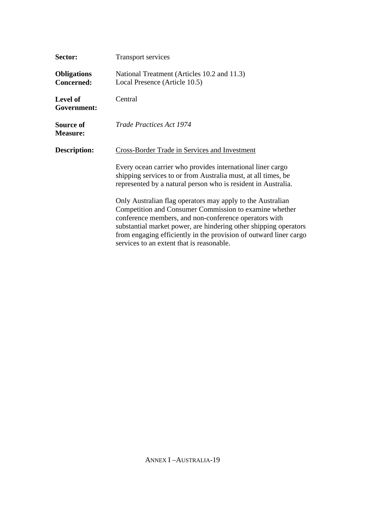| Sector:                                 | Transport services                                                                                                                                                                                                                                                                                                                                                  |  |
|-----------------------------------------|---------------------------------------------------------------------------------------------------------------------------------------------------------------------------------------------------------------------------------------------------------------------------------------------------------------------------------------------------------------------|--|
| <b>Obligations</b><br><b>Concerned:</b> | National Treatment (Articles 10.2 and 11.3)<br>Local Presence (Article 10.5)                                                                                                                                                                                                                                                                                        |  |
| <b>Level of</b><br>Government:          | Central                                                                                                                                                                                                                                                                                                                                                             |  |
| Source of<br><b>Measure:</b>            | <b>Trade Practices Act 1974</b>                                                                                                                                                                                                                                                                                                                                     |  |
| <b>Description:</b>                     | Cross-Border Trade in Services and Investment                                                                                                                                                                                                                                                                                                                       |  |
|                                         | Every ocean carrier who provides international liner cargo<br>shipping services to or from Australia must, at all times, be<br>represented by a natural person who is resident in Australia.                                                                                                                                                                        |  |
|                                         | Only Australian flag operators may apply to the Australian<br>Competition and Consumer Commission to examine whether<br>conference members, and non-conference operators with<br>substantial market power, are hindering other shipping operators<br>from engaging efficiently in the provision of outward liner cargo<br>services to an extent that is reasonable. |  |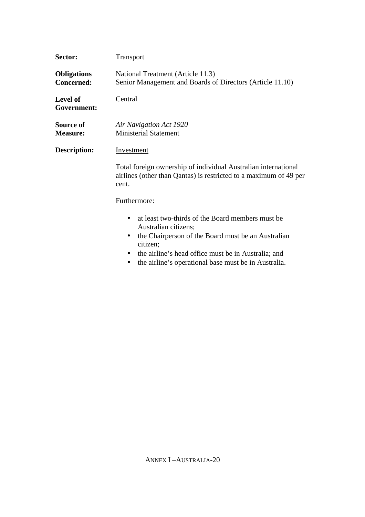| Sector:                                 | Transport                                                                                                                                                                                                                                                 |  |
|-----------------------------------------|-----------------------------------------------------------------------------------------------------------------------------------------------------------------------------------------------------------------------------------------------------------|--|
| <b>Obligations</b><br><b>Concerned:</b> | National Treatment (Article 11.3)<br>Senior Management and Boards of Directors (Article 11.10)                                                                                                                                                            |  |
| <b>Level of</b><br>Government:          | Central                                                                                                                                                                                                                                                   |  |
| Source of<br><b>Measure:</b>            | Air Navigation Act 1920<br><b>Ministerial Statement</b>                                                                                                                                                                                                   |  |
| Description:                            | Investment                                                                                                                                                                                                                                                |  |
|                                         | Total foreign ownership of individual Australian international<br>airlines (other than Qantas) is restricted to a maximum of 49 per<br>cent.                                                                                                              |  |
| Furthermore:                            |                                                                                                                                                                                                                                                           |  |
|                                         | at least two-thirds of the Board members must be<br>Australian citizens;<br>the Chairperson of the Board must be an Australian<br>citizen;<br>the airline's head office must be in Australia; and<br>the airline's operational base must be in Australia. |  |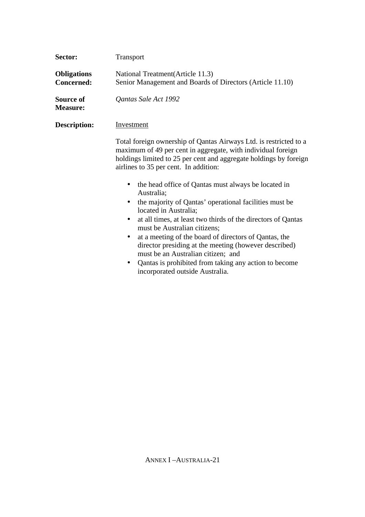| Sector:                                 | Transport                                                                                                                                                                                                                                                                                                                                                                                                                                                                                                                                                                                                                                                                                                                                                                                          |  |
|-----------------------------------------|----------------------------------------------------------------------------------------------------------------------------------------------------------------------------------------------------------------------------------------------------------------------------------------------------------------------------------------------------------------------------------------------------------------------------------------------------------------------------------------------------------------------------------------------------------------------------------------------------------------------------------------------------------------------------------------------------------------------------------------------------------------------------------------------------|--|
| <b>Obligations</b><br><b>Concerned:</b> | National Treatment (Article 11.3)<br>Senior Management and Boards of Directors (Article 11.10)                                                                                                                                                                                                                                                                                                                                                                                                                                                                                                                                                                                                                                                                                                     |  |
| Source of<br><b>Measure:</b>            | Qantas Sale Act 1992                                                                                                                                                                                                                                                                                                                                                                                                                                                                                                                                                                                                                                                                                                                                                                               |  |
| Description:                            | <b>Investment</b>                                                                                                                                                                                                                                                                                                                                                                                                                                                                                                                                                                                                                                                                                                                                                                                  |  |
|                                         | Total foreign ownership of Qantas Airways Ltd. is restricted to a<br>maximum of 49 per cent in aggregate, with individual foreign<br>holdings limited to 25 per cent and aggregate holdings by foreign<br>airlines to 35 per cent. In addition:<br>the head office of Qantas must always be located in<br>Australia;<br>the majority of Qantas' operational facilities must be<br>$\bullet$<br>located in Australia;<br>at all times, at least two thirds of the directors of Qantas<br>$\bullet$<br>must be Australian citizens;<br>at a meeting of the board of directors of Qantas, the<br>$\bullet$<br>director presiding at the meeting (however described)<br>must be an Australian citizen; and<br>Qantas is prohibited from taking any action to become<br>incorporated outside Australia. |  |
|                                         |                                                                                                                                                                                                                                                                                                                                                                                                                                                                                                                                                                                                                                                                                                                                                                                                    |  |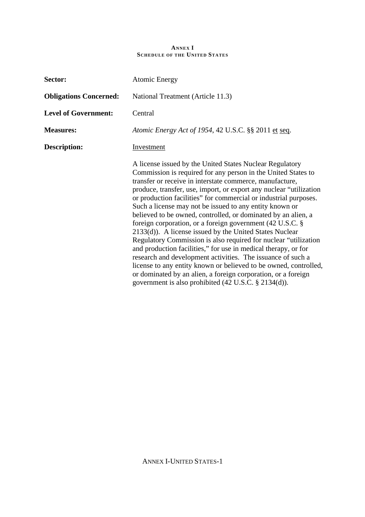## **ANNEX I SCHEDULE OF THE UNITED STATES**

| Sector:                       | <b>Atomic Energy</b>                                                                                                                                                                                                                                                                                                                                                                                                                                                                                                                                                                                                                                                                                                                                                                                                                                                                                                                                                                             |
|-------------------------------|--------------------------------------------------------------------------------------------------------------------------------------------------------------------------------------------------------------------------------------------------------------------------------------------------------------------------------------------------------------------------------------------------------------------------------------------------------------------------------------------------------------------------------------------------------------------------------------------------------------------------------------------------------------------------------------------------------------------------------------------------------------------------------------------------------------------------------------------------------------------------------------------------------------------------------------------------------------------------------------------------|
| <b>Obligations Concerned:</b> | National Treatment (Article 11.3)                                                                                                                                                                                                                                                                                                                                                                                                                                                                                                                                                                                                                                                                                                                                                                                                                                                                                                                                                                |
| <b>Level of Government:</b>   | Central                                                                                                                                                                                                                                                                                                                                                                                                                                                                                                                                                                                                                                                                                                                                                                                                                                                                                                                                                                                          |
| <b>Measures:</b>              | Atomic Energy Act of 1954, 42 U.S.C. §§ 2011 et seq.                                                                                                                                                                                                                                                                                                                                                                                                                                                                                                                                                                                                                                                                                                                                                                                                                                                                                                                                             |
| Description:                  | Investment                                                                                                                                                                                                                                                                                                                                                                                                                                                                                                                                                                                                                                                                                                                                                                                                                                                                                                                                                                                       |
|                               | A license issued by the United States Nuclear Regulatory<br>Commission is required for any person in the United States to<br>transfer or receive in interstate commerce, manufacture,<br>produce, transfer, use, import, or export any nuclear "utilization"<br>or production facilities" for commercial or industrial purposes.<br>Such a license may not be issued to any entity known or<br>believed to be owned, controlled, or dominated by an alien, a<br>foreign corporation, or a foreign government $(42 \text{ U.S.C.} \$<br>2133(d)). A license issued by the United States Nuclear<br>Regulatory Commission is also required for nuclear "utilization"<br>and production facilities," for use in medical therapy, or for<br>research and development activities. The issuance of such a<br>license to any entity known or believed to be owned, controlled,<br>or dominated by an alien, a foreign corporation, or a foreign<br>government is also prohibited (42 U.S.C. § 2134(d)). |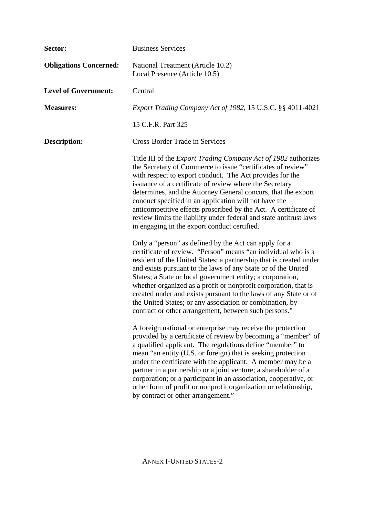| Sector:                       | <b>Business Services</b>                                                                                                                                                                                                                                                                                                                                                                                                                                                                                                                                                                |
|-------------------------------|-----------------------------------------------------------------------------------------------------------------------------------------------------------------------------------------------------------------------------------------------------------------------------------------------------------------------------------------------------------------------------------------------------------------------------------------------------------------------------------------------------------------------------------------------------------------------------------------|
| <b>Obligations Concerned:</b> | National Treatment (Article 10.2)<br>Local Presence (Article 10.5)                                                                                                                                                                                                                                                                                                                                                                                                                                                                                                                      |
| <b>Level of Government:</b>   | Central                                                                                                                                                                                                                                                                                                                                                                                                                                                                                                                                                                                 |
| <b>Measures:</b>              | Export Trading Company Act of 1982, 15 U.S.C. §§ 4011-4021                                                                                                                                                                                                                                                                                                                                                                                                                                                                                                                              |
|                               | 15 C.F.R. Part 325                                                                                                                                                                                                                                                                                                                                                                                                                                                                                                                                                                      |
| <b>Description:</b>           | <b>Cross-Border Trade in Services</b>                                                                                                                                                                                                                                                                                                                                                                                                                                                                                                                                                   |
|                               | Title III of the <i>Export Trading Company Act of 1982</i> authorizes<br>the Secretary of Commerce to issue "certificates of review"<br>with respect to export conduct. The Act provides for the<br>issuance of a certificate of review where the Secretary<br>determines, and the Attorney General concurs, that the export<br>conduct specified in an application will not have the<br>anticompetitive effects proscribed by the Act. A certificate of<br>review limits the liability under federal and state antitrust laws<br>in engaging in the export conduct certified.          |
|                               | Only a "person" as defined by the Act can apply for a<br>certificate of review. "Person" means "an individual who is a<br>resident of the United States; a partnership that is created under<br>and exists pursuant to the laws of any State or of the United<br>States; a State or local government entity; a corporation,<br>whether organized as a profit or nonprofit corporation, that is<br>created under and exists pursuant to the laws of any State or of<br>the United States; or any association or combination, by<br>contract or other arrangement, between such persons." |
|                               | A foreign national or enterprise may receive the protection<br>provided by a certificate of review by becoming a "member" of<br>a qualified applicant. The regulations define "member" to<br>mean "an entity (U.S. or foreign) that is seeking protection<br>under the certificate with the applicant. A member may be a<br>partner in a partnership or a joint venture; a shareholder of a<br>corporation; or a participant in an association, cooperative, or<br>other form of profit or nonprofit organization or relationship,<br>by contract or other arrangement."                |

ANNEX I-UNITED STATES-2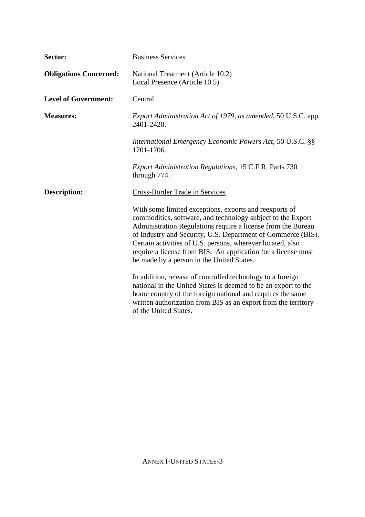| Sector:                       | <b>Business Services</b>                                                                                                                                                                                                                                                                                                                                                                                                          |
|-------------------------------|-----------------------------------------------------------------------------------------------------------------------------------------------------------------------------------------------------------------------------------------------------------------------------------------------------------------------------------------------------------------------------------------------------------------------------------|
| <b>Obligations Concerned:</b> | National Treatment (Article 10.2)<br>Local Presence (Article 10.5)                                                                                                                                                                                                                                                                                                                                                                |
| <b>Level of Government:</b>   | Central                                                                                                                                                                                                                                                                                                                                                                                                                           |
| <b>Measures:</b>              | Export Administration Act of 1979, as amended, 50 U.S.C. app.<br>2401-2420.                                                                                                                                                                                                                                                                                                                                                       |
|                               | International Emergency Economic Powers Act, 50 U.S.C. §§<br>1701-1706.                                                                                                                                                                                                                                                                                                                                                           |
|                               | Export Administration Regulations, 15 C.F.R. Parts 730<br>through 774.                                                                                                                                                                                                                                                                                                                                                            |
| <b>Description:</b>           | Cross-Border Trade in Services                                                                                                                                                                                                                                                                                                                                                                                                    |
|                               | With some limited exceptions, exports and reexports of<br>commodities, software, and technology subject to the Export<br>Administration Regulations require a license from the Bureau<br>of Industry and Security, U.S. Department of Commerce (BIS).<br>Certain activities of U.S. persons, wherever located, also<br>require a license from BIS. An application for a license must<br>be made by a person in the United States. |
|                               | In addition, release of controlled technology to a foreign<br>national in the United States is deemed to be an export to the<br>home country of the foreign national and requires the same<br>written authorization from BIS as an export from the territory<br>of the United States.                                                                                                                                             |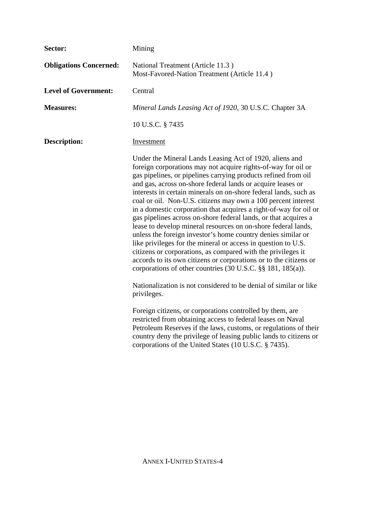| Sector:                       | Mining                                                                                                                                                                                                                                                                                                                                                                                                                                                                                                                                                                                                                                                                                                                                                                                                                                                                                                                                                      |
|-------------------------------|-------------------------------------------------------------------------------------------------------------------------------------------------------------------------------------------------------------------------------------------------------------------------------------------------------------------------------------------------------------------------------------------------------------------------------------------------------------------------------------------------------------------------------------------------------------------------------------------------------------------------------------------------------------------------------------------------------------------------------------------------------------------------------------------------------------------------------------------------------------------------------------------------------------------------------------------------------------|
| <b>Obligations Concerned:</b> | National Treatment (Article 11.3)<br>Most-Favored-Nation Treatment (Article 11.4)                                                                                                                                                                                                                                                                                                                                                                                                                                                                                                                                                                                                                                                                                                                                                                                                                                                                           |
| <b>Level of Government:</b>   | Central                                                                                                                                                                                                                                                                                                                                                                                                                                                                                                                                                                                                                                                                                                                                                                                                                                                                                                                                                     |
| <b>Measures:</b>              | Mineral Lands Leasing Act of 1920, 30 U.S.C. Chapter 3A                                                                                                                                                                                                                                                                                                                                                                                                                                                                                                                                                                                                                                                                                                                                                                                                                                                                                                     |
|                               | 10 U.S.C. § 7435                                                                                                                                                                                                                                                                                                                                                                                                                                                                                                                                                                                                                                                                                                                                                                                                                                                                                                                                            |
| <b>Description:</b>           | Investment                                                                                                                                                                                                                                                                                                                                                                                                                                                                                                                                                                                                                                                                                                                                                                                                                                                                                                                                                  |
|                               | Under the Mineral Lands Leasing Act of 1920, aliens and<br>foreign corporations may not acquire rights-of-way for oil or<br>gas pipelines, or pipelines carrying products refined from oil<br>and gas, across on-shore federal lands or acquire leases or<br>interests in certain minerals on on-shore federal lands, such as<br>coal or oil. Non-U.S. citizens may own a 100 percent interest<br>in a domestic corporation that acquires a right-of-way for oil or<br>gas pipelines across on-shore federal lands, or that acquires a<br>lease to develop mineral resources on on-shore federal lands,<br>unless the foreign investor's home country denies similar or<br>like privileges for the mineral or access in question to U.S.<br>citizens or corporations, as compared with the privileges it<br>accords to its own citizens or corporations or to the citizens or<br>corporations of other countries $(30 \text{ U.S.C. }$ §§ 181, 185 $(a)$ ). |
|                               | Nationalization is not considered to be denial of similar or like<br>privileges.                                                                                                                                                                                                                                                                                                                                                                                                                                                                                                                                                                                                                                                                                                                                                                                                                                                                            |
|                               | Foreign citizens, or corporations controlled by them, are<br>restricted from obtaining access to federal leases on Naval<br>Petroleum Reserves if the laws, customs, or regulations of their<br>country deny the privilege of leasing public lands to citizens or<br>corporations of the United States (10 U.S.C. § 7435).                                                                                                                                                                                                                                                                                                                                                                                                                                                                                                                                                                                                                                  |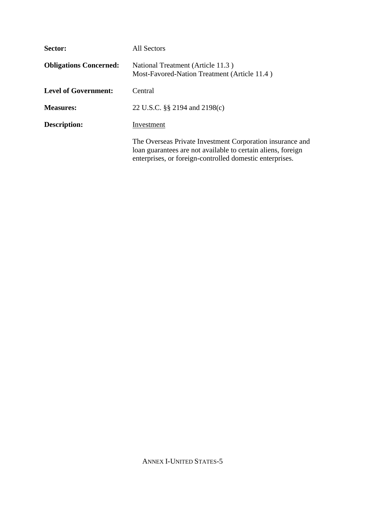| Sector:                       | All Sectors                                                                                                                                                                           |
|-------------------------------|---------------------------------------------------------------------------------------------------------------------------------------------------------------------------------------|
| <b>Obligations Concerned:</b> | National Treatment (Article 11.3)<br>Most-Favored-Nation Treatment (Article 11.4)                                                                                                     |
| <b>Level of Government:</b>   | Central                                                                                                                                                                               |
| <b>Measures:</b>              | 22 U.S.C. §§ 2194 and 2198(c)                                                                                                                                                         |
| Description:                  | Investment                                                                                                                                                                            |
|                               | The Overseas Private Investment Corporation insurance and<br>loan guarantees are not available to certain aliens, foreign<br>enterprises, or foreign-controlled domestic enterprises. |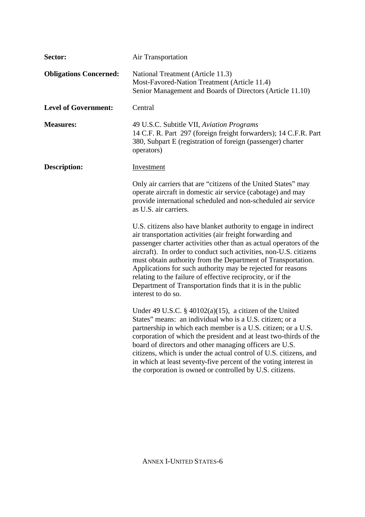| Sector:                       | <b>Air Transportation</b>                                                                                                                                                                                                                                                                                                                                                                                                                                                                                                                                  |
|-------------------------------|------------------------------------------------------------------------------------------------------------------------------------------------------------------------------------------------------------------------------------------------------------------------------------------------------------------------------------------------------------------------------------------------------------------------------------------------------------------------------------------------------------------------------------------------------------|
| <b>Obligations Concerned:</b> | National Treatment (Article 11.3)<br>Most-Favored-Nation Treatment (Article 11.4)<br>Senior Management and Boards of Directors (Article 11.10)                                                                                                                                                                                                                                                                                                                                                                                                             |
| <b>Level of Government:</b>   | Central                                                                                                                                                                                                                                                                                                                                                                                                                                                                                                                                                    |
| <b>Measures:</b>              | 49 U.S.C. Subtitle VII, Aviation Programs<br>14 C.F. R. Part 297 (foreign freight forwarders); 14 C.F.R. Part<br>380, Subpart E (registration of foreign (passenger) charter<br>operators)                                                                                                                                                                                                                                                                                                                                                                 |
| <b>Description:</b>           | <b>Investment</b>                                                                                                                                                                                                                                                                                                                                                                                                                                                                                                                                          |
|                               | Only air carriers that are "citizens of the United States" may<br>operate aircraft in domestic air service (cabotage) and may<br>provide international scheduled and non-scheduled air service<br>as U.S. air carriers.                                                                                                                                                                                                                                                                                                                                    |
|                               | U.S. citizens also have blanket authority to engage in indirect<br>air transportation activities (air freight forwarding and<br>passenger charter activities other than as actual operators of the<br>aircraft). In order to conduct such activities, non-U.S. citizens<br>must obtain authority from the Department of Transportation.<br>Applications for such authority may be rejected for reasons<br>relating to the failure of effective reciprocity, or if the<br>Department of Transportation finds that it is in the public<br>interest to do so. |
|                               | Under 49 U.S.C. $\S$ 40102(a)(15), a citizen of the United<br>States" means: an individual who is a U.S. citizen; or a<br>partnership in which each member is a U.S. citizen; or a U.S.<br>corporation of which the president and at least two-thirds of the<br>board of directors and other managing officers are U.S.<br>citizens, which is under the actual control of U.S. citizens, and<br>in which at least seventy-five percent of the voting interest in<br>the corporation is owned or controlled by U.S. citizens.                               |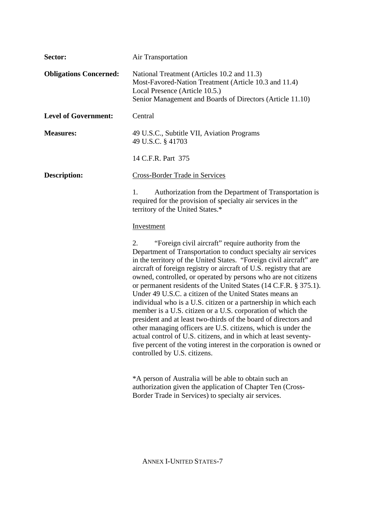| Sector:                       | <b>Air Transportation</b>                                                                                                                                                                                                                                                                                                                                                                                                                                                                                                                                                                                                                                                                                                                                                                                                                                                                                                |
|-------------------------------|--------------------------------------------------------------------------------------------------------------------------------------------------------------------------------------------------------------------------------------------------------------------------------------------------------------------------------------------------------------------------------------------------------------------------------------------------------------------------------------------------------------------------------------------------------------------------------------------------------------------------------------------------------------------------------------------------------------------------------------------------------------------------------------------------------------------------------------------------------------------------------------------------------------------------|
| <b>Obligations Concerned:</b> | National Treatment (Articles 10.2 and 11.3)<br>Most-Favored-Nation Treatment (Article 10.3 and 11.4)<br>Local Presence (Article 10.5.)<br>Senior Management and Boards of Directors (Article 11.10)                                                                                                                                                                                                                                                                                                                                                                                                                                                                                                                                                                                                                                                                                                                      |
| <b>Level of Government:</b>   | Central                                                                                                                                                                                                                                                                                                                                                                                                                                                                                                                                                                                                                                                                                                                                                                                                                                                                                                                  |
| <b>Measures:</b>              | 49 U.S.C., Subtitle VII, Aviation Programs<br>49 U.S.C. § 41703                                                                                                                                                                                                                                                                                                                                                                                                                                                                                                                                                                                                                                                                                                                                                                                                                                                          |
|                               | 14 C.F.R. Part 375                                                                                                                                                                                                                                                                                                                                                                                                                                                                                                                                                                                                                                                                                                                                                                                                                                                                                                       |
| <b>Description:</b>           | <b>Cross-Border Trade in Services</b>                                                                                                                                                                                                                                                                                                                                                                                                                                                                                                                                                                                                                                                                                                                                                                                                                                                                                    |
|                               | Authorization from the Department of Transportation is<br>1.<br>required for the provision of specialty air services in the<br>territory of the United States.*                                                                                                                                                                                                                                                                                                                                                                                                                                                                                                                                                                                                                                                                                                                                                          |
|                               | Investment                                                                                                                                                                                                                                                                                                                                                                                                                                                                                                                                                                                                                                                                                                                                                                                                                                                                                                               |
|                               | "Foreign civil aircraft" require authority from the<br>2.<br>Department of Transportation to conduct specialty air services<br>in the territory of the United States. "Foreign civil aircraft" are<br>aircraft of foreign registry or aircraft of U.S. registry that are<br>owned, controlled, or operated by persons who are not citizens<br>or permanent residents of the United States (14 C.F.R. § 375.1).<br>Under 49 U.S.C. a citizen of the United States means an<br>individual who is a U.S. citizen or a partnership in which each<br>member is a U.S. citizen or a U.S. corporation of which the<br>president and at least two-thirds of the board of directors and<br>other managing officers are U.S. citizens, which is under the<br>actual control of U.S. citizens, and in which at least seventy-<br>five percent of the voting interest in the corporation is owned or<br>controlled by U.S. citizens. |
|                               | *A person of Australia will be able to obtain such an<br>authorization given the application of Chapter Ten (Cross-<br>Border Trade in Services) to specialty air services.                                                                                                                                                                                                                                                                                                                                                                                                                                                                                                                                                                                                                                                                                                                                              |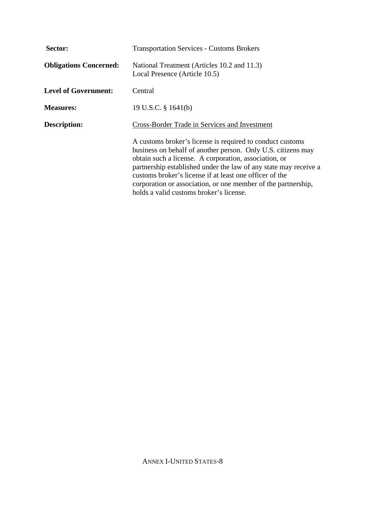| Sector:                       | <b>Transportation Services - Customs Brokers</b>                                                                                                                                                                                                                                                                                                                                                                              |
|-------------------------------|-------------------------------------------------------------------------------------------------------------------------------------------------------------------------------------------------------------------------------------------------------------------------------------------------------------------------------------------------------------------------------------------------------------------------------|
| <b>Obligations Concerned:</b> | National Treatment (Articles 10.2 and 11.3)<br>Local Presence (Article 10.5)                                                                                                                                                                                                                                                                                                                                                  |
| <b>Level of Government:</b>   | Central                                                                                                                                                                                                                                                                                                                                                                                                                       |
| <b>Measures:</b>              | 19 U.S.C. § 1641(b)                                                                                                                                                                                                                                                                                                                                                                                                           |
| <b>Description:</b>           | Cross-Border Trade in Services and Investment                                                                                                                                                                                                                                                                                                                                                                                 |
|                               | A customs broker's license is required to conduct customs<br>business on behalf of another person. Only U.S. citizens may<br>obtain such a license. A corporation, association, or<br>partnership established under the law of any state may receive a<br>customs broker's license if at least one officer of the<br>corporation or association, or one member of the partnership,<br>holds a valid customs broker's license. |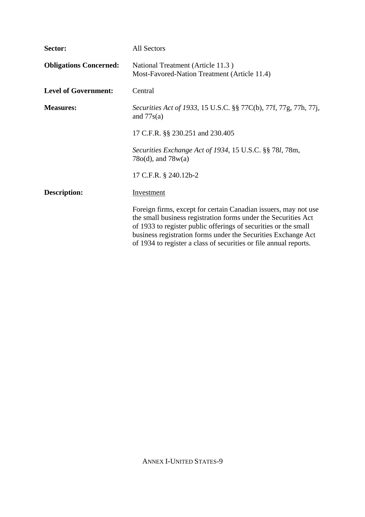| Sector:                       | All Sectors                                                                                                                                                                                                                                                                                                                                |
|-------------------------------|--------------------------------------------------------------------------------------------------------------------------------------------------------------------------------------------------------------------------------------------------------------------------------------------------------------------------------------------|
| <b>Obligations Concerned:</b> | National Treatment (Article 11.3)<br>Most-Favored-Nation Treatment (Article 11.4)                                                                                                                                                                                                                                                          |
| <b>Level of Government:</b>   | Central                                                                                                                                                                                                                                                                                                                                    |
| <b>Measures:</b>              | Securities Act of 1933, 15 U.S.C. §§ 77C(b), 77f, 77g, 77h, 77j,<br>and $77s(a)$                                                                                                                                                                                                                                                           |
|                               | 17 C.F.R. §§ 230.251 and 230.405                                                                                                                                                                                                                                                                                                           |
|                               | Securities Exchange Act of 1934, 15 U.S.C. §§ 781, 78m,<br>$78o(d)$ , and $78w(a)$                                                                                                                                                                                                                                                         |
|                               | 17 C.F.R. § 240.12b-2                                                                                                                                                                                                                                                                                                                      |
| <b>Description:</b>           | Investment                                                                                                                                                                                                                                                                                                                                 |
|                               | Foreign firms, except for certain Canadian issuers, may not use<br>the small business registration forms under the Securities Act<br>of 1933 to register public offerings of securities or the small<br>business registration forms under the Securities Exchange Act<br>of 1934 to register a class of securities or file annual reports. |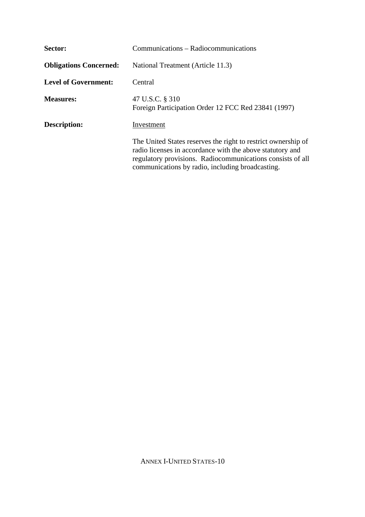| Sector:                       | Communications – Radiocommunications                                                                                                                                                                                                         |
|-------------------------------|----------------------------------------------------------------------------------------------------------------------------------------------------------------------------------------------------------------------------------------------|
| <b>Obligations Concerned:</b> | National Treatment (Article 11.3)                                                                                                                                                                                                            |
| <b>Level of Government:</b>   | Central                                                                                                                                                                                                                                      |
| <b>Measures:</b>              | 47 U.S.C. § 310<br>Foreign Participation Order 12 FCC Red 23841 (1997)                                                                                                                                                                       |
| Description:                  | Investment                                                                                                                                                                                                                                   |
|                               | The United States reserves the right to restrict ownership of<br>radio licenses in accordance with the above statutory and<br>regulatory provisions. Radiocommunications consists of all<br>communications by radio, including broadcasting. |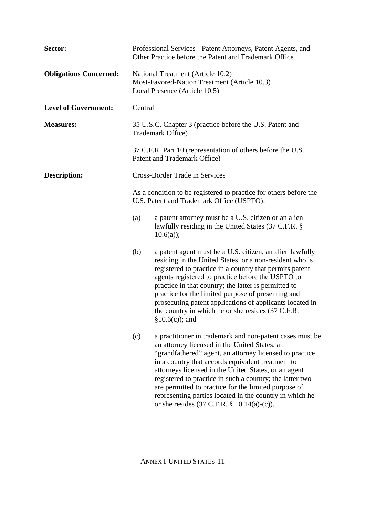| Sector:                       | Professional Services - Patent Attorneys, Patent Agents, and<br>Other Practice before the Patent and Trademark Office                                                                                                                                                                                                                                                                                                                                                                                                            |
|-------------------------------|----------------------------------------------------------------------------------------------------------------------------------------------------------------------------------------------------------------------------------------------------------------------------------------------------------------------------------------------------------------------------------------------------------------------------------------------------------------------------------------------------------------------------------|
| <b>Obligations Concerned:</b> | National Treatment (Article 10.2)<br>Most-Favored-Nation Treatment (Article 10.3)<br>Local Presence (Article 10.5)                                                                                                                                                                                                                                                                                                                                                                                                               |
| <b>Level of Government:</b>   | Central                                                                                                                                                                                                                                                                                                                                                                                                                                                                                                                          |
| <b>Measures:</b>              | 35 U.S.C. Chapter 3 (practice before the U.S. Patent and<br>Trademark Office)                                                                                                                                                                                                                                                                                                                                                                                                                                                    |
|                               | 37 C.F.R. Part 10 (representation of others before the U.S.<br>Patent and Trademark Office)                                                                                                                                                                                                                                                                                                                                                                                                                                      |
| <b>Description:</b>           | <b>Cross-Border Trade in Services</b>                                                                                                                                                                                                                                                                                                                                                                                                                                                                                            |
|                               | As a condition to be registered to practice for others before the<br>U.S. Patent and Trademark Office (USPTO):                                                                                                                                                                                                                                                                                                                                                                                                                   |
|                               | a patent attorney must be a U.S. citizen or an alien<br>(a)<br>lawfully residing in the United States (37 C.F.R. §<br>$10.6(a)$ ;                                                                                                                                                                                                                                                                                                                                                                                                |
|                               | (b)<br>a patent agent must be a U.S. citizen, an alien lawfully<br>residing in the United States, or a non-resident who is<br>registered to practice in a country that permits patent<br>agents registered to practice before the USPTO to<br>practice in that country; the latter is permitted to<br>practice for the limited purpose of presenting and<br>prosecuting patent applications of applicants located in<br>the country in which he or she resides (37 C.F.R.<br>$§10.6(c)$ ; and                                    |
|                               | (c)<br>a practitioner in trademark and non-patent cases must be<br>an attorney licensed in the United States, a<br>"grandfathered" agent, an attorney licensed to practice<br>in a country that accords equivalent treatment to<br>attorneys licensed in the United States, or an agent<br>registered to practice in such a country; the latter two<br>are permitted to practice for the limited purpose of<br>representing parties located in the country in which he<br>or she resides $(37 \text{ C.F.R. } § 10.14(a)-(c))$ . |

ANNEX I-UNITED STATES-11